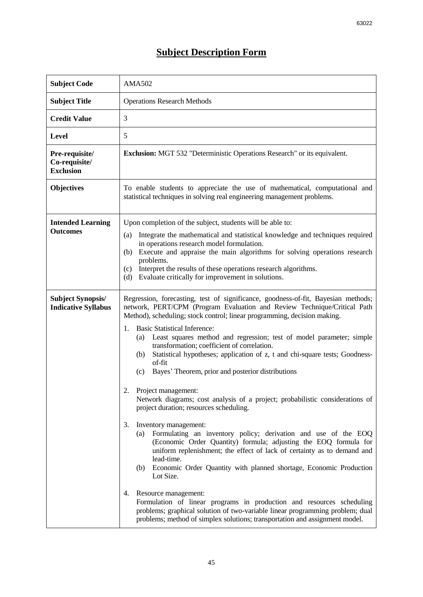## **Subject Description Form**

| <b>Subject Code</b>                                    | <b>AMA502</b>                                                                                                                                                                                                                                                                                                                                                                                                                                                                                                                                                                                                                                                                                                                                                                                                                                                                                                                                                                                                                                                                                                                                                                                                                                                                                                                                                                   |  |  |  |
|--------------------------------------------------------|---------------------------------------------------------------------------------------------------------------------------------------------------------------------------------------------------------------------------------------------------------------------------------------------------------------------------------------------------------------------------------------------------------------------------------------------------------------------------------------------------------------------------------------------------------------------------------------------------------------------------------------------------------------------------------------------------------------------------------------------------------------------------------------------------------------------------------------------------------------------------------------------------------------------------------------------------------------------------------------------------------------------------------------------------------------------------------------------------------------------------------------------------------------------------------------------------------------------------------------------------------------------------------------------------------------------------------------------------------------------------------|--|--|--|
| <b>Subject Title</b>                                   | <b>Operations Research Methods</b>                                                                                                                                                                                                                                                                                                                                                                                                                                                                                                                                                                                                                                                                                                                                                                                                                                                                                                                                                                                                                                                                                                                                                                                                                                                                                                                                              |  |  |  |
| <b>Credit Value</b>                                    | 3                                                                                                                                                                                                                                                                                                                                                                                                                                                                                                                                                                                                                                                                                                                                                                                                                                                                                                                                                                                                                                                                                                                                                                                                                                                                                                                                                                               |  |  |  |
| <b>Level</b>                                           | 5                                                                                                                                                                                                                                                                                                                                                                                                                                                                                                                                                                                                                                                                                                                                                                                                                                                                                                                                                                                                                                                                                                                                                                                                                                                                                                                                                                               |  |  |  |
| Pre-requisite/<br>Co-requisite/<br><b>Exclusion</b>    | <b>Exclusion:</b> MGT 532 "Deterministic Operations Research" or its equivalent.                                                                                                                                                                                                                                                                                                                                                                                                                                                                                                                                                                                                                                                                                                                                                                                                                                                                                                                                                                                                                                                                                                                                                                                                                                                                                                |  |  |  |
| <b>Objectives</b>                                      | To enable students to appreciate the use of mathematical, computational and<br>statistical techniques in solving real engineering management problems.                                                                                                                                                                                                                                                                                                                                                                                                                                                                                                                                                                                                                                                                                                                                                                                                                                                                                                                                                                                                                                                                                                                                                                                                                          |  |  |  |
| <b>Intended Learning</b><br><b>Outcomes</b>            | Upon completion of the subject, students will be able to:<br>Integrate the mathematical and statistical knowledge and techniques required<br>(a)<br>in operations research model formulation.<br>Execute and appraise the main algorithms for solving operations research<br>(b)<br>problems.<br>Interpret the results of these operations research algorithms.<br>(c)<br>Evaluate critically for improvement in solutions.<br>(d)                                                                                                                                                                                                                                                                                                                                                                                                                                                                                                                                                                                                                                                                                                                                                                                                                                                                                                                                              |  |  |  |
| <b>Subject Synopsis/</b><br><b>Indicative Syllabus</b> | Regression, forecasting, test of significance, goodness-of-fit, Bayesian methods;<br>network, PERT/CPM (Program Evaluation and Review Technique/Critical Path<br>Method), scheduling; stock control; linear programming, decision making.<br><b>Basic Statistical Inference:</b><br>1.<br>Least squares method and regression; test of model parameter; simple<br>(a)<br>transformation; coefficient of correlation.<br>Statistical hypotheses; application of z, t and chi-square tests; Goodness-<br>(b)<br>of-fit<br>Bayes' Theorem, prior and posterior distributions<br>(c)<br>2.<br>Project management:<br>Network diagrams; cost analysis of a project; probabilistic considerations of<br>project duration; resources scheduling.<br>Inventory management:<br>3.<br>Formulating an inventory policy; derivation and use of the EOQ<br>(a)<br>(Economic Order Quantity) formula; adjusting the EOQ formula for<br>uniform replenishment; the effect of lack of certainty as to demand and<br>lead-time.<br>Economic Order Quantity with planned shortage, Economic Production<br>(b)<br>Lot Size.<br>Resource management:<br>4.<br>Formulation of linear programs in production and resources scheduling<br>problems; graphical solution of two-variable linear programming problem; dual<br>problems; method of simplex solutions; transportation and assignment model. |  |  |  |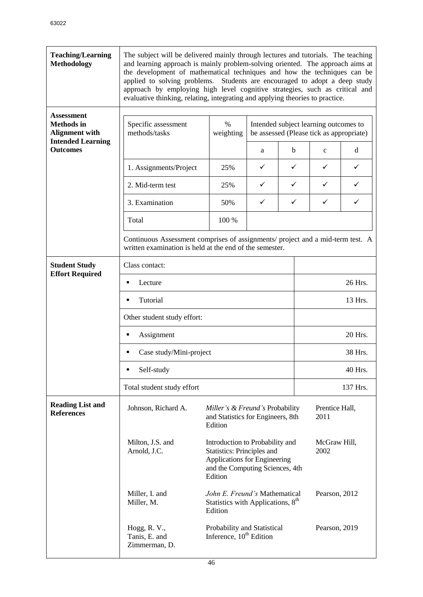| <b>Teaching/Learning</b><br><b>Methodology</b>                  | The subject will be delivered mainly through lectures and tutorials. The teaching<br>and learning approach is mainly problem-solving oriented. The approach aims at<br>the development of mathematical techniques and how the techniques can be<br>applied to solving problems. Students are encouraged to adopt a deep study<br>approach by employing high level cognitive strategies, such as critical and<br>evaluative thinking, relating, integrating and applying theories to practice. |                   |                                                                                                                                                                                                                                                                                                                                                                                                                                               |   |              |   |  |
|-----------------------------------------------------------------|-----------------------------------------------------------------------------------------------------------------------------------------------------------------------------------------------------------------------------------------------------------------------------------------------------------------------------------------------------------------------------------------------------------------------------------------------------------------------------------------------|-------------------|-----------------------------------------------------------------------------------------------------------------------------------------------------------------------------------------------------------------------------------------------------------------------------------------------------------------------------------------------------------------------------------------------------------------------------------------------|---|--------------|---|--|
| <b>Assessment</b><br><b>Methods</b> in<br><b>Alignment with</b> | Specific assessment<br>methods/tasks                                                                                                                                                                                                                                                                                                                                                                                                                                                          | $\%$<br>weighting | Intended subject learning outcomes to<br>be assessed (Please tick as appropriate)                                                                                                                                                                                                                                                                                                                                                             |   |              |   |  |
| <b>Intended Learning</b><br><b>Outcomes</b>                     |                                                                                                                                                                                                                                                                                                                                                                                                                                                                                               |                   | a                                                                                                                                                                                                                                                                                                                                                                                                                                             | b | $\mathbf{C}$ | d |  |
|                                                                 | 1. Assignments/Project                                                                                                                                                                                                                                                                                                                                                                                                                                                                        | 25%               | ✓                                                                                                                                                                                                                                                                                                                                                                                                                                             | ✓ | ✓            | ✓ |  |
|                                                                 | 2. Mid-term test                                                                                                                                                                                                                                                                                                                                                                                                                                                                              | 25%               | ✓                                                                                                                                                                                                                                                                                                                                                                                                                                             | ✓ | ✓            | ✓ |  |
|                                                                 | 3. Examination                                                                                                                                                                                                                                                                                                                                                                                                                                                                                | 50%               | ✓                                                                                                                                                                                                                                                                                                                                                                                                                                             | ✓ | $\checkmark$ | ✓ |  |
|                                                                 | Total                                                                                                                                                                                                                                                                                                                                                                                                                                                                                         | 100 %             |                                                                                                                                                                                                                                                                                                                                                                                                                                               |   |              |   |  |
|                                                                 | Continuous Assessment comprises of assignments/ project and a mid-term test. A<br>written examination is held at the end of the semester.                                                                                                                                                                                                                                                                                                                                                     |                   |                                                                                                                                                                                                                                                                                                                                                                                                                                               |   |              |   |  |
| <b>Student Study</b><br><b>Effort Required</b>                  | Class contact:                                                                                                                                                                                                                                                                                                                                                                                                                                                                                |                   |                                                                                                                                                                                                                                                                                                                                                                                                                                               |   |              |   |  |
|                                                                 | Lecture<br>٠                                                                                                                                                                                                                                                                                                                                                                                                                                                                                  |                   |                                                                                                                                                                                                                                                                                                                                                                                                                                               |   | 26 Hrs.      |   |  |
|                                                                 | Tutorial<br>٠                                                                                                                                                                                                                                                                                                                                                                                                                                                                                 |                   |                                                                                                                                                                                                                                                                                                                                                                                                                                               |   | 13 Hrs.      |   |  |
|                                                                 | Other student study effort:                                                                                                                                                                                                                                                                                                                                                                                                                                                                   |                   |                                                                                                                                                                                                                                                                                                                                                                                                                                               |   |              |   |  |
|                                                                 | Assignment<br>٠                                                                                                                                                                                                                                                                                                                                                                                                                                                                               |                   |                                                                                                                                                                                                                                                                                                                                                                                                                                               |   | 20 Hrs.      |   |  |
|                                                                 | Case study/Mini-project<br>٠                                                                                                                                                                                                                                                                                                                                                                                                                                                                  |                   |                                                                                                                                                                                                                                                                                                                                                                                                                                               |   | 38 Hrs.      |   |  |
|                                                                 | Self-study<br>٠                                                                                                                                                                                                                                                                                                                                                                                                                                                                               |                   |                                                                                                                                                                                                                                                                                                                                                                                                                                               |   | 40 Hrs.      |   |  |
|                                                                 | Total student study effort                                                                                                                                                                                                                                                                                                                                                                                                                                                                    |                   |                                                                                                                                                                                                                                                                                                                                                                                                                                               |   | 137 Hrs.     |   |  |
| <b>Reading List and</b><br><b>References</b>                    | Johnson, Richard A.                                                                                                                                                                                                                                                                                                                                                                                                                                                                           | Edition           | Miller's & Freund's Probability<br>Prentice Hall,<br>and Statistics for Engineers, 8th<br>2011<br>Introduction to Probability and<br>McGraw Hill,<br>Statistics: Principles and<br>2002<br>Applications for Engineering<br>and the Computing Sciences, 4th<br>John E. Freund's Mathematical<br>Pearson, 2012<br>Statistics with Applications, 8 <sup>th</sup><br>Probability and Statistical<br>Pearson, 2019<br>Inference, $10^{th}$ Edition |   |              |   |  |
|                                                                 | Milton, J.S. and<br>Arnold, J.C.                                                                                                                                                                                                                                                                                                                                                                                                                                                              | Edition           |                                                                                                                                                                                                                                                                                                                                                                                                                                               |   |              |   |  |
|                                                                 | Miller, I. and<br>Miller, M.                                                                                                                                                                                                                                                                                                                                                                                                                                                                  | Edition           |                                                                                                                                                                                                                                                                                                                                                                                                                                               |   |              |   |  |
|                                                                 | Hogg, R. V.,<br>Tanis, E. and<br>Zimmerman, D.                                                                                                                                                                                                                                                                                                                                                                                                                                                |                   |                                                                                                                                                                                                                                                                                                                                                                                                                                               |   |              |   |  |